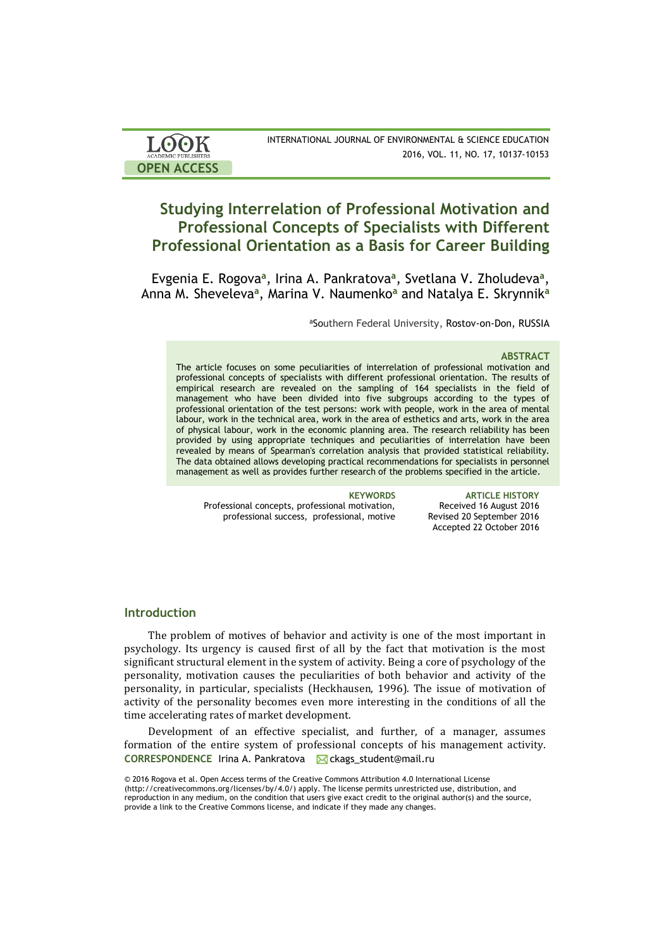| <b>LOOK</b>                | INTERNATIONAL JOURNAL OF ENVIRONMENTAL & SCIENCE EDUCATION |  |  |  |  |
|----------------------------|------------------------------------------------------------|--|--|--|--|
| <b>ACADEMIC PUBLISHERS</b> | 2016, VOL. 11, NO. 17, 10137-10153                         |  |  |  |  |
| <b>OPEN ACCESS</b>         |                                                            |  |  |  |  |

# **Studying Interrelation of Professional Motivation and Professional Concepts of Specialists with Different Professional Orientation as a Basis for Career Building**

Evgenia E. Rogova<sup>a</sup>, Irina A. Pankratova<sup>a</sup>, Svetlana V. Zholudeva<sup>a</sup>, Anna M. Sheveleva**<sup>a</sup>** , Marina V. Naumenko**<sup>a</sup>** and Natalya E. Skrynnik**<sup>a</sup>**

aSouthern Federal University, Rostov-on-Don, RUSSIA

### **ABSTRACT**

The article focuses on some peculiarities of interrelation of professional motivation and professional concepts of specialists with different professional orientation. The results of empirical research are revealed on the sampling of 164 specialists in the field of management who have been divided into five subgroups according to the types of professional orientation of the test persons: work with people, work in the area of mental labour, work in the technical area, work in the area of esthetics and arts, work in the area of physical labour, work in the economic planning area. The research reliability has been provided by using appropriate techniques and peculiarities of interrelation have been revealed by means of Spearman's correlation analysis that provided statistical reliability. The data obtained allows developing practical recommendations for specialists in personnel management as well as provides further research of the problems specified in the article.

Professional concepts, professional motivation, professional success, professional, motive

**KEYWORDS ARTICLE HISTORY** Received 16 August 2016 Revised 20 September 2016 Accepted 22 October 2016

# **Introduction**

The problem of motives of behavior and activity is one of the most important in psychology. Its urgency is caused first of all by the fact that motivation is the most significant structural element in the system of activity. Being a core of psychology of the personality, motivation causes the peculiarities of both behavior and activity of the personality, in particular, specialists (Heckhausen, 1996). The issue of motivation of activity of the personality becomes even more interesting in the conditions of all the time accelerating rates of market development.

CORRESPONDENCE Irina A. Pankratova **M** ckags student@mail.ru Development of an effective specialist, and further, of a manager, assumes formation of the entire system of professional concepts of his management activity.

<sup>©</sup> 2016 Rogova et al. Open Access terms of the Creative Commons Attribution 4.0 International License (http://creativecommons.org/licenses/by/4.0/) apply. The license permits unrestricted use, distribution, and reproduction in any medium, on the condition that users give exact credit to the original author(s) and the source, provide a link to the Creative Commons license, and indicate if they made any changes.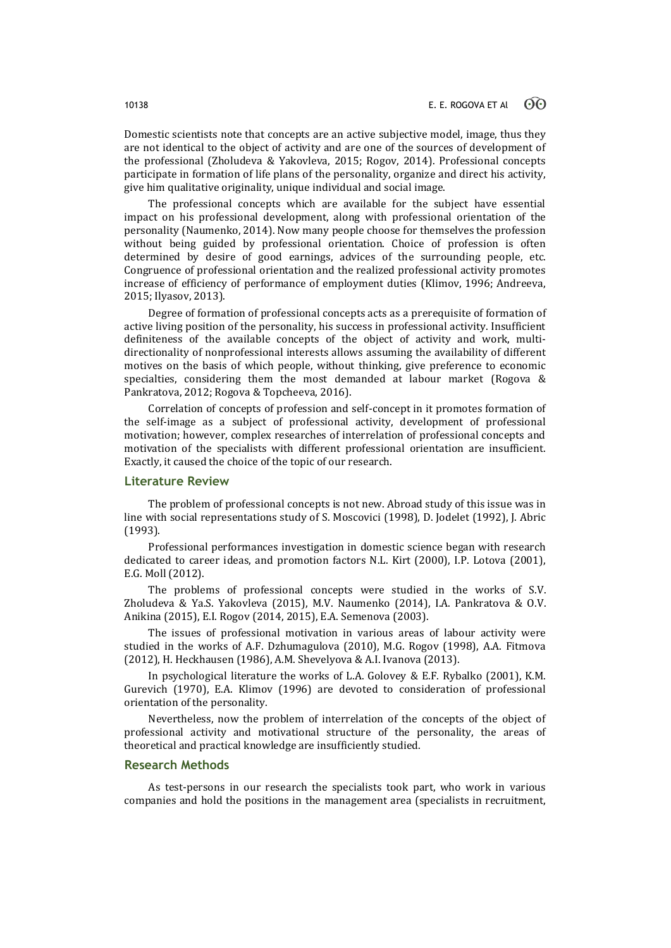Domestic scientists note that concepts are an active subjective model, image, thus they are not identical to the object of activity and are one of the sources of development of the professional (Zholudeva & Yakovleva, 2015; Rogov, 2014). Professional concepts participate in formation of life plans of the personality, organize and direct his activity, give him qualitative originality, unique individual and social image.

The professional concepts which are available for the subject have essential impact on his professional development, along with professional orientation of the personality (Naumenko, 2014). Now many people choose for themselves the profession without being guided by professional orientation. Choice of profession is often determined by desire of good earnings, advices of the surrounding people, etc. Congruence of professional orientation and the realized professional activity promotes increase of efficiency of performance of employment duties (Klimov, 1996; Andreeva, 2015; Ilyasov, 2013).

Degree of formation of professional concepts acts as a prerequisite of formation of active living position of the personality, his success in professional activity. Insufficient definiteness of the available concepts of the object of activity and work, multidirectionality of nonprofessional interests allows assuming the availability of different motives on the basis of which people, without thinking, give preference to economic specialties, considering them the most demanded at labour market (Rogova & Pankratova, 2012; Rogova & Topcheeva, 2016).

Correlation of concepts of profession and self-concept in it promotes formation of the self-image as a subject of professional activity, development of professional motivation; however, complex researches of interrelation of professional concepts and motivation of the specialists with different professional orientation are insufficient. Exactly, it caused the choice of the topic of our research.

# **Literature Review**

The problem of professional concepts is not new. Abroad study of this issue was in line with social representations study of S. Moscovici (1998), D. Jodelet (1992), J. Abric (1993).

Professional performances investigation in domestic science began with research dedicated to career ideas, and promotion factors N.L. Kirt (2000), I.P. Lotova (2001), E.G. Moll (2012).

The problems of professional concepts were studied in the works of S.V. Zholudeva & Ya.S. Yakovleva (2015), M.V. Naumenko (2014), I.A. Pankratova & O.V. Anikina (2015), E.I. Rogov (2014, 2015), E.A. Semenova (2003).

The issues of professional motivation in various areas of labour activity were studied in the works of A.F. Dzhumagulova (2010), M.G. Rogov (1998), A.A. Fitmova (2012), H. Heckhausen (1986), A.M. Shevelyova & A.I. Ivanova (2013).

In psychological literature the works of L.A. Golovey & E.F. Rybalko (2001), K.M. Gurevich (1970), E.A. Klimov (1996) are devoted to consideration of professional orientation of the personality.

Nevertheless, now the problem of interrelation of the concepts of the object of professional activity and motivational structure of the personality, the areas of theoretical and practical knowledge are insufficiently studied.

# **Research Methods**

As test-persons in our research the specialists took part, who work in various companies and hold the positions in the management area (specialists in recruitment,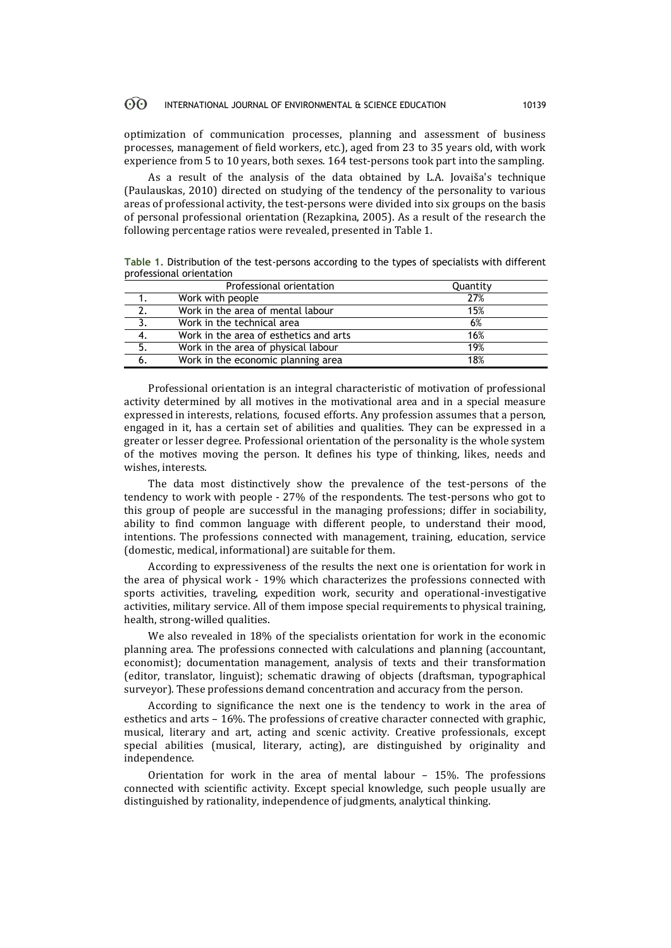optimization of communication processes, planning and assessment of business processes, management of field workers, etc.), aged from 23 to 35 years old, with work experience from 5 to 10 years, both sexes. 164 test-persons took part into the sampling.

As a result of the analysis of the data obtained by L.A. Jovaiša's technique (Paulauskas, 2010) directed on studying of the tendency of the personality to various areas of professional activity, the test-persons were divided into six groups on the basis of personal professional orientation (Rezapkina, 2005). As a result of the research the following percentage ratios were revealed, presented in Table 1.

**Table 1.** Distribution of the test-persons according to the types of specialists with different professional orientation

|    | Professional orientation               | Quantity |
|----|----------------------------------------|----------|
|    | Work with people                       | 27%      |
| 2. | Work in the area of mental labour      | 15%      |
|    | Work in the technical area             | 6%       |
|    | Work in the area of esthetics and arts | 16%      |
| 5. | Work in the area of physical labour    | 19%      |
| 6. | Work in the economic planning area     | 18%      |

Professional orientation is an integral characteristic of motivation of professional activity determined by all motives in the motivational area and in a special measure expressed in interests, relations, focused efforts. Any profession assumes that a person, engaged in it, has a certain set of abilities and qualities. They can be expressed in a greater or lesser degree. Professional orientation of the personality is the whole system of the motives moving the person. It defines his type of thinking, likes, needs and wishes, interests.

The data most distinctively show the prevalence of the test-persons of the tendency to work with people - 27% of the respondents. The test-persons who got to this group of people are successful in the managing professions; differ in sociability, ability to find common language with different people, to understand their mood, intentions. The professions connected with management, training, education, service (domestic, medical, informational) are suitable for them.

According to expressiveness of the results the next one is orientation for work in the area of physical work - 19% which characterizes the professions connected with sports activities, traveling, expedition work, security and operational-investigative activities, military service. All of them impose special requirements to physical training, health, strong-willed qualities.

We also revealed in 18% of the specialists orientation for work in the economic planning area. The professions connected with calculations and planning (accountant, economist); documentation management, analysis of texts and their transformation (editor, translator, linguist); schematic drawing of objects (draftsman, typographical surveyor). These professions demand concentration and accuracy from the person.

According to significance the next one is the tendency to work in the area of esthetics and arts – 16%. The professions of creative character connected with graphic, musical, literary and art, acting and scenic activity. Creative professionals, except special abilities (musical, literary, acting), are distinguished by originality and independence.

Orientation for work in the area of mental labour – 15%. The professions connected with scientific activity. Except special knowledge, such people usually are distinguished by rationality, independence of judgments, analytical thinking.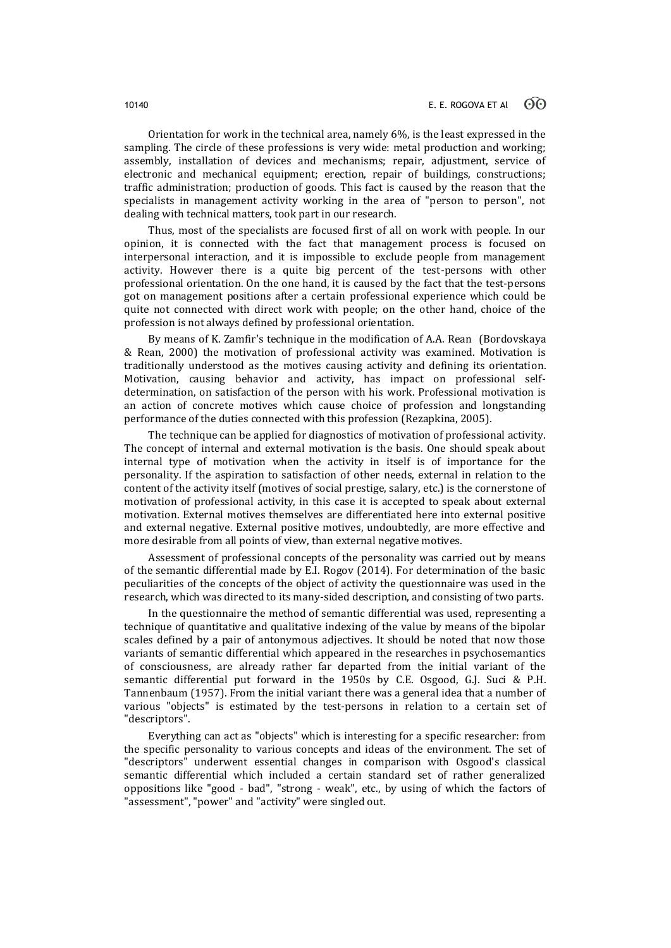Orientation for work in the technical area, namely 6%, is the least expressed in the sampling. The circle of these professions is very wide: metal production and working; assembly, installation of devices and mechanisms; repair, adjustment, service of electronic and mechanical equipment; erection, repair of buildings, constructions; traffic administration; production of goods. This fact is caused by the reason that the specialists in management activity working in the area of "person to person", not dealing with technical matters, took part in our research.

Thus, most of the specialists are focused first of all on work with people. In our opinion, it is connected with the fact that management process is focused on interpersonal interaction, and it is impossible to exclude people from management activity. However there is a quite big percent of the test-persons with other professional orientation. On the one hand, it is caused by the fact that the test-persons got on management positions after a certain professional experience which could be quite not connected with direct work with people; on the other hand, choice of the profession is not always defined by professional orientation.

By means of K. Zamfir's technique in the modification of A.A. Rean (Bordovskaya & Rean, 2000) the motivation of professional activity was examined. Motivation is traditionally understood as the motives causing activity and defining its orientation. Motivation, causing behavior and activity, has impact on professional selfdetermination, on satisfaction of the person with his work. Professional motivation is an action of concrete motives which cause choice of profession and longstanding performance of the duties connected with this profession (Rezapkina, 2005).

The technique can be applied for diagnostics of motivation of professional activity. The concept of internal and external motivation is the basis. One should speak about internal type of motivation when the activity in itself is of importance for the personality. If the aspiration to satisfaction of other needs, external in relation to the content of the activity itself (motives of social prestige, salary, etc.) is the cornerstone of motivation of professional activity, in this case it is accepted to speak about external motivation. External motives themselves are differentiated here into external positive and external negative. External positive motives, undoubtedly, are more effective and more desirable from all points of view, than external negative motives.

Assessment of professional concepts of the personality was carried out by means of the semantic differential made by E.I. Rogov (2014). For determination of the basic peculiarities of the concepts of the object of activity the questionnaire was used in the research, which was directed to its many-sided description, and consisting of two parts.

In the questionnaire the method of semantic differential was used, representing a technique of quantitative and qualitative indexing of the value by means of the bipolar scales defined by a pair of antonymous adjectives. It should be noted that now those variants of semantic differential which appeared in the researches in psychosemantics of consciousness, are already rather far departed from the initial variant of the semantic differential put forward in the 1950s by C.E. Osgood, G.J. Suci & P.H. Tannenbaum (1957). From the initial variant there was a general idea that a number of various "objects" is estimated by the test-persons in relation to a certain set of "descriptors".

Everything can act as "objects" which is interesting for a specific researcher: from the specific personality to various concepts and ideas of the environment. The set of "descriptors" underwent essential changes in comparison with Osgood's classical semantic differential which included a certain standard set of rather generalized oppositions like "good - bad", "strong - weak", etc., by using of which the factors of "assessment", "power" and "activity" were singled out.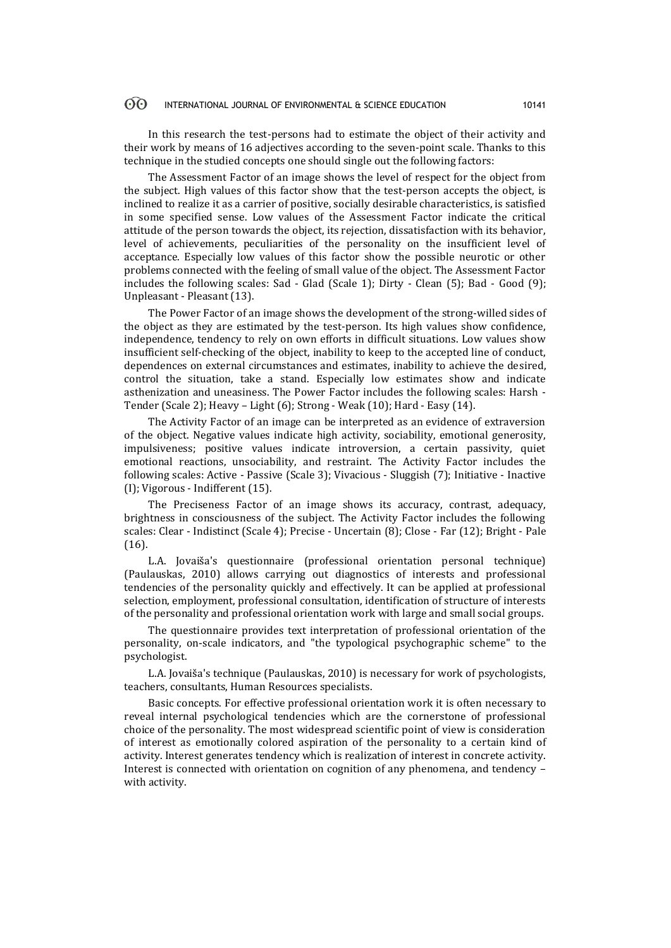In this research the test-persons had to estimate the object of their activity and their work by means of 16 adjectives according to the seven-point scale. Thanks to this technique in the studied concepts one should single out the following factors:

The Assessment Factor of an image shows the level of respect for the object from the subject. High values of this factor show that the test-person accepts the object, is inclined to realize it as a carrier of positive, socially desirable characteristics, is satisfied in some specified sense. Low values of the Assessment Factor indicate the critical attitude of the person towards the object, its rejection, dissatisfaction with its behavior, level of achievements, peculiarities of the personality on the insufficient level of acceptance. Especially low values of this factor show the possible neurotic or other problems connected with the feeling of small value of the object. The Assessment Factor includes the following scales: Sad - Glad (Scale 1); Dirty - Clean (5); Bad - Good (9); Unpleasant - Pleasant (13).

The Power Factor of an image shows the development of the strong-willed sides of the object as they are estimated by the test-person. Its high values show confidence, independence, tendency to rely on own efforts in difficult situations. Low values show insufficient self-checking of the object, inability to keep to the accepted line of conduct, dependences on external circumstances and estimates, inability to achieve the desired, control the situation, take a stand. Especially low estimates show and indicate asthenization and uneasiness. The Power Factor includes the following scales: Harsh - Tender (Scale 2); Heavy – Light (6); Strong - Weak (10); Hard - Easy (14).

The Activity Factor of an image can be interpreted as an evidence of extraversion of the object. Negative values indicate high activity, sociability, emotional generosity, impulsiveness; positive values indicate introversion, a certain passivity, quiet emotional reactions, unsociability, and restraint. The Activity Factor includes the following scales: Active - Passive (Scale 3); Vivacious - Sluggish (7); Initiative - Inactive (I); Vigorous - Indifferent (15).

The Preciseness Factor of an image shows its accuracy, contrast, adequacy, brightness in consciousness of the subject. The Activity Factor includes the following scales: Clear - Indistinct (Scale 4); Precise - Uncertain (8); Close - Far (12); Bright - Pale (16).

L.A. Jovaiša's questionnaire (professional orientation personal technique) (Paulauskas, 2010) allows carrying out diagnostics of interests and professional tendencies of the personality quickly and effectively. It can be applied at professional selection, employment, professional consultation, identification of structure of interests of the personality and professional orientation work with large and small social groups.

The questionnaire provides text interpretation of professional orientation of the personality, on-scale indicators, and "the typological psychographic scheme" to the psychologist.

L.A. Jovaiša's technique (Paulauskas, 2010) is necessary for work of psychologists, teachers, consultants, Human Resources specialists.

Basic concepts. For effective professional orientation work it is often necessary to reveal internal psychological tendencies which are the cornerstone of professional choice of the personality. The most widespread scientific point of view is consideration of interest as emotionally colored aspiration of the personality to a certain kind of activity. Interest generates tendency which is realization of interest in concrete activity. Interest is connected with orientation on cognition of any phenomena, and tendency – with activity.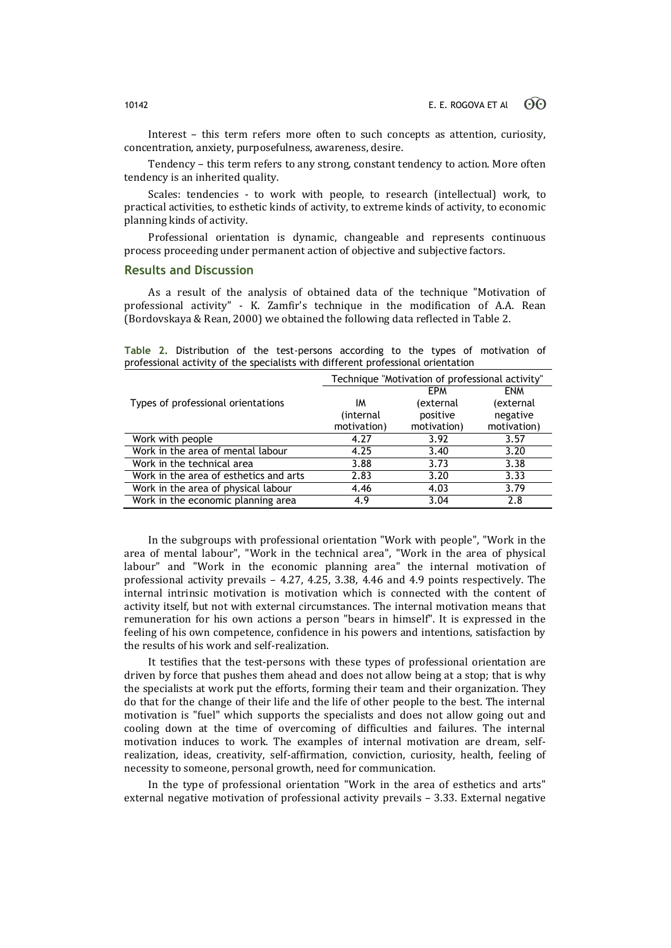Interest – this term refers more often to such concepts as attention, curiosity, concentration, anxiety, purposefulness, awareness, desire.

Tendency – this term refers to any strong, constant tendency to action. More often tendency is an inherited quality.

Scales: tendencies - to work with people, to research (intellectual) work, to practical activities, to esthetic kinds of activity, to extreme kinds of activity, to economic planning kinds of activity.

Professional orientation is dynamic, changeable and represents continuous process proceeding under permanent action of objective and subjective factors.

# **Results and Discussion**

As a result of the analysis of obtained data of the technique "Motivation of professional activity" - K. Zamfir's technique in the modification of A.A. Rean (Bordovskaya & Rean, 2000) we obtained the following data reflected in Table 2.

|                                                                                                                                |  |  |  |  | Table 2. Distribution of the test-persons according to the types of motivation of |  |  |  |  |  |  |  |
|--------------------------------------------------------------------------------------------------------------------------------|--|--|--|--|-----------------------------------------------------------------------------------|--|--|--|--|--|--|--|
| professional activity of the specialists with different professional orientation                                               |  |  |  |  |                                                                                   |  |  |  |  |  |  |  |
| $\overline{\mathbf{T}}$ . The state of the state of the state of the state of the state $\mathbf{0}$ , $\overline{\mathbf{0}}$ |  |  |  |  |                                                                                   |  |  |  |  |  |  |  |

|                                        | Technique "Motivation of professional activity" |             |             |  |  |  |
|----------------------------------------|-------------------------------------------------|-------------|-------------|--|--|--|
|                                        |                                                 | <b>EPM</b>  | <b>ENM</b>  |  |  |  |
| Types of professional orientations     | ΙM                                              | (external   | (external   |  |  |  |
|                                        | (internal                                       | positive    | negative    |  |  |  |
|                                        | motivation)                                     | motivation) | motivation) |  |  |  |
| Work with people                       | 4.27                                            | 3.92        | 3.57        |  |  |  |
| Work in the area of mental labour      | 4.25                                            | 3.40        | 3.20        |  |  |  |
| Work in the technical area             | 3.88                                            | 3.73        | 3.38        |  |  |  |
| Work in the area of esthetics and arts | 2.83                                            | 3.20        | 3.33        |  |  |  |
| Work in the area of physical labour    | 4.46                                            | 4.03        | 3.79        |  |  |  |
| Work in the economic planning area     | 4.9                                             | 3.04        | 2.8         |  |  |  |

In the subgroups with professional orientation "Work with people", "Work in the area of mental labour", "Work in the technical area", "Work in the area of physical labour" and "Work in the economic planning area" the internal motivation of professional activity prevails – 4.27, 4.25, 3.38, 4.46 and 4.9 points respectively. The internal intrinsic motivation is motivation which is connected with the content of activity itself, but not with external circumstances. The internal motivation means that remuneration for his own actions a person "bears in himself". It is expressed in the feeling of his own competence, confidence in his powers and intentions, satisfaction by the results of his work and self-realization.

It testifies that the test-persons with these types of professional orientation are driven by force that pushes them ahead and does not allow being at a stop; that is why the specialists at work put the efforts, forming their team and their organization. They do that for the change of their life and the life of other people to the best. The internal motivation is "fuel" which supports the specialists and does not allow going out and cooling down at the time of overcoming of difficulties and failures. The internal motivation induces to work. The examples of internal motivation are dream, selfrealization, ideas, creativity, self-affirmation, conviction, curiosity, health, feeling of necessity to someone, personal growth, need for communication.

In the type of professional orientation "Work in the area of esthetics and arts" external negative motivation of professional activity prevails – 3.33. External negative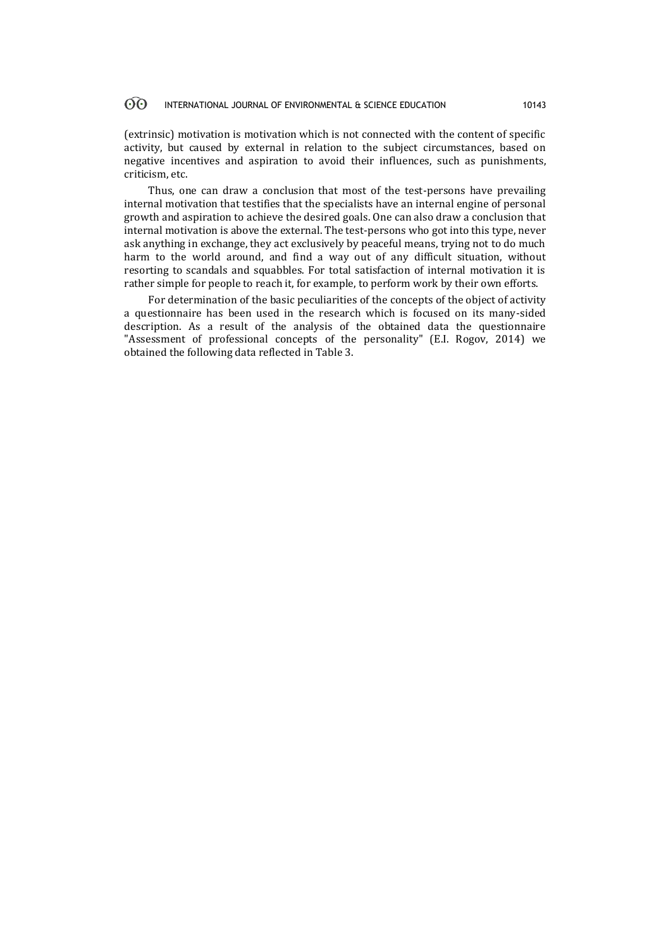(extrinsic) motivation is motivation which is not connected with the content of specific activity, but caused by external in relation to the subject circumstances, based on negative incentives and aspiration to avoid their influences, such as punishments, criticism, etc.

Thus, one can draw a conclusion that most of the test-persons have prevailing internal motivation that testifies that the specialists have an internal engine of personal growth and aspiration to achieve the desired goals. One can also draw a conclusion that internal motivation is above the external. The test-persons who got into this type, never ask anything in exchange, they act exclusively by peaceful means, trying not to do much harm to the world around, and find a way out of any difficult situation, without resorting to scandals and squabbles. For total satisfaction of internal motivation it is rather simple for people to reach it, for example, to perform work by their own efforts.

For determination of the basic peculiarities of the concepts of the object of activity a questionnaire has been used in the research which is focused on its many-sided description. As a result of the analysis of the obtained data the questionnaire "Assessment of professional concepts of the personality" (E.I. Rogov, 2014) we obtained the following data reflected in Table 3.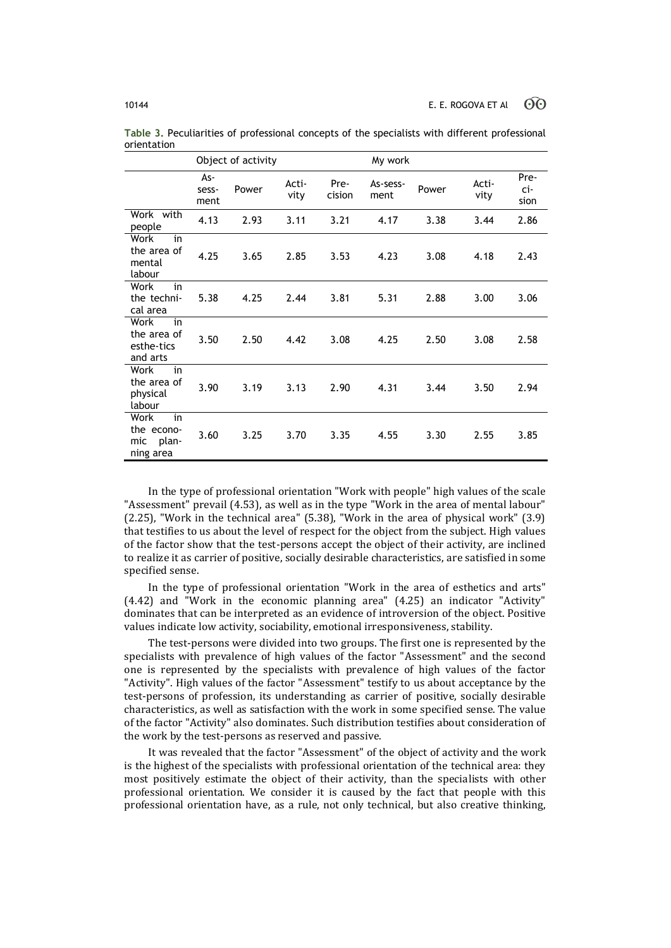|                                                       |                      | Object of activity |               |                | My work          |       |               |                     |  |
|-------------------------------------------------------|----------------------|--------------------|---------------|----------------|------------------|-------|---------------|---------------------|--|
|                                                       | As-<br>sess-<br>ment | Power              | Acti-<br>vity | Pre-<br>cision | As-sess-<br>ment | Power | Acti-<br>vity | Pre-<br>ci-<br>sion |  |
| Work with<br>people                                   | 4.13                 | 2.93               | 3.11          | 3.21           | 4.17             | 3.38  | 3.44          | 2.86                |  |
| Work<br>in<br>the area of<br>mental<br>labour         | 4.25                 | 3.65               | 2.85          | 3.53           | 4.23             | 3.08  | 4.18          | 2.43                |  |
| Work<br>in<br>the techni-<br>cal area                 | 5.38                 | 4.25               | 2.44          | 3.81           | 5.31             | 2.88  | 3.00          | 3.06                |  |
| in<br>Work<br>the area of<br>esthe-tics<br>and arts   | 3.50                 | 2.50               | 4.42          | 3.08           | 4.25             | 2.50  | 3.08          | 2.58                |  |
| in<br>Work<br>the area of<br>physical<br>labour       | 3.90                 | 3.19               | 3.13          | 2.90           | 4.31             | 3.44  | 3.50          | 2.94                |  |
| Work<br>in<br>the econo-<br>plan-<br>mic<br>ning area | 3.60                 | 3.25               | 3.70          | 3.35           | 4.55             | 3.30  | 2.55          | 3.85                |  |

**Table 3.** Peculiarities of professional concepts of the specialists with different professional orientation

In the type of professional orientation "Work with people" high values of the scale "Assessment" prevail (4.53), as well as in the type "Work in the area of mental labour" (2.25), "Work in the technical area" (5.38), "Work in the area of physical work" (3.9) that testifies to us about the level of respect for the object from the subject. High values of the factor show that the test-persons accept the object of their activity, are inclined to realize it as carrier of positive, socially desirable characteristics, are satisfied in some specified sense.

In the type of professional orientation "Work in the area of esthetics and arts" (4.42) and "Work in the economic planning area" (4.25) an indicator "Activity" dominates that can be interpreted as an evidence of introversion of the object. Positive values indicate low activity, sociability, emotional irresponsiveness, stability.

The test-persons were divided into two groups. The first one is represented by the specialists with prevalence of high values of the factor "Assessment" and the second one is represented by the specialists with prevalence of high values of the factor "Activity". High values of the factor "Assessment" testify to us about acceptance by the test-persons of profession, its understanding as carrier of positive, socially desirable characteristics, as well as satisfaction with the work in some specified sense. The value of the factor "Activity" also dominates. Such distribution testifies about consideration of the work by the test-persons as reserved and passive.

It was revealed that the factor "Assessment" of the object of activity and the work is the highest of the specialists with professional orientation of the technical area: they most positively estimate the object of their activity, than the specialists with other professional orientation. We consider it is caused by the fact that people with this professional orientation have, as a rule, not only technical, but also creative thinking,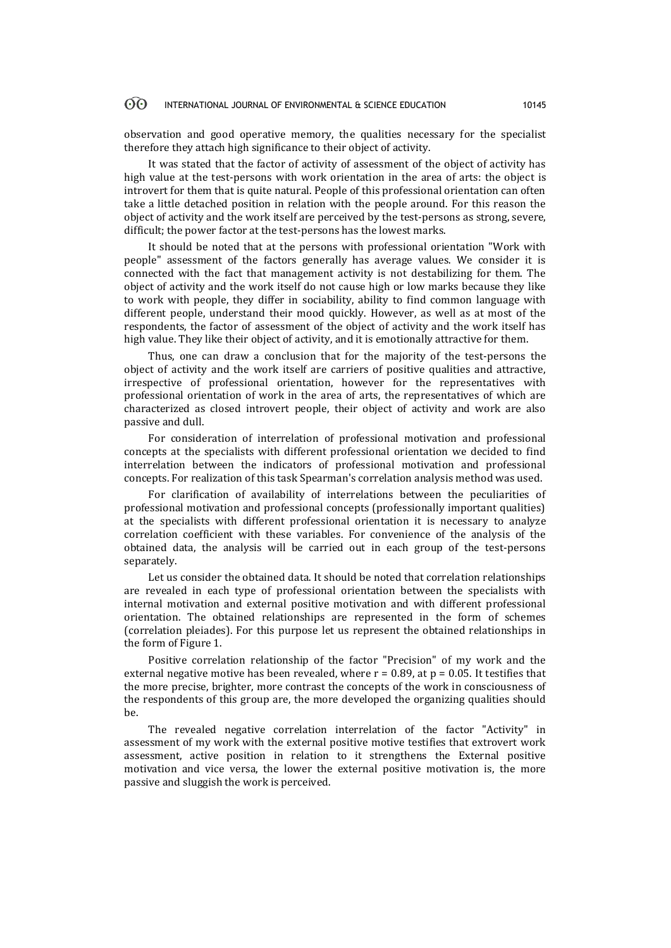observation and good operative memory, the qualities necessary for the specialist therefore they attach high significance to their object of activity.

It was stated that the factor of activity of assessment of the object of activity has high value at the test-persons with work orientation in the area of arts: the object is introvert for them that is quite natural. People of this professional orientation can often take a little detached position in relation with the people around. For this reason the object of activity and the work itself are perceived by the test-persons as strong, severe, difficult; the power factor at the test-persons has the lowest marks.

It should be noted that at the persons with professional orientation "Work with people" assessment of the factors generally has average values. We consider it is connected with the fact that management activity is not destabilizing for them. The object of activity and the work itself do not cause high or low marks because they like to work with people, they differ in sociability, ability to find common language with different people, understand their mood quickly. However, as well as at most of the respondents, the factor of assessment of the object of activity and the work itself has high value. They like their object of activity, and it is emotionally attractive for them.

Thus, one can draw a conclusion that for the majority of the test-persons the object of activity and the work itself are carriers of positive qualities and attractive, irrespective of professional orientation, however for the representatives with professional orientation of work in the area of arts, the representatives of which are characterized as closed introvert people, their object of activity and work are also passive and dull.

For consideration of interrelation of professional motivation and professional concepts at the specialists with different professional orientation we decided to find interrelation between the indicators of professional motivation and professional concepts. For realization of this task Spearman's correlation analysis method was used.

For clarification of availability of interrelations between the peculiarities of professional motivation and professional concepts (professionally important qualities) at the specialists with different professional orientation it is necessary to analyze correlation coefficient with these variables. For convenience of the analysis of the obtained data, the analysis will be carried out in each group of the test-persons separately.

Let us consider the obtained data. It should be noted that correlation relationships are revealed in each type of professional orientation between the specialists with internal motivation and external positive motivation and with different professional orientation. The obtained relationships are represented in the form of schemes (correlation pleiades). For this purpose let us represent the obtained relationships in the form of Figure 1.

Positive correlation relationship of the factor "Precision" of my work and the external negative motive has been revealed, where  $r = 0.89$ , at  $p = 0.05$ . It testifies that the more precise, brighter, more contrast the concepts of the work in consciousness of the respondents of this group are, the more developed the organizing qualities should  $he$ 

The revealed negative correlation interrelation of the factor "Activity" in assessment of my work with the external positive motive testifies that extrovert work assessment, active position in relation to it strengthens the External positive motivation and vice versa, the lower the external positive motivation is, the more passive and sluggish the work is perceived.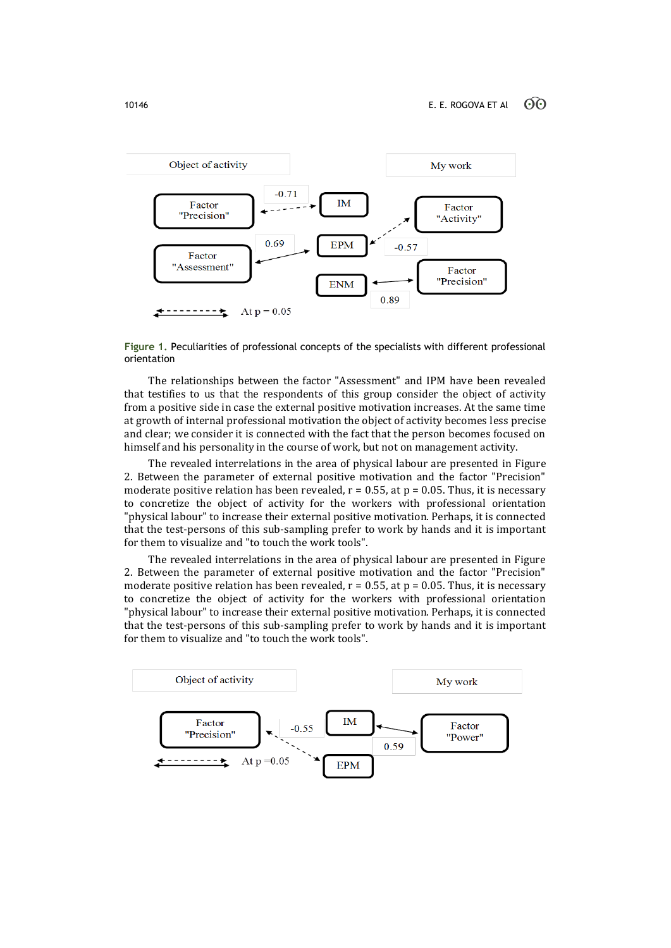

**Figure 1.** Peculiarities of professional concepts of the specialists with different professional orientation

The relationships between the factor "Assessment" and IPM have been revealed that testifies to us that the respondents of this group consider the object of activity from a positive side in case the external positive motivation increases. At the same time at growth of internal professional motivation the object of activity becomes less precise and clear; we consider it is connected with the fact that the person becomes focused on himself and his personality in the course of work, but not on management activity.

The revealed interrelations in the area of physical labour are presented in Figure 2. Between the parameter of external positive motivation and the factor "Precision" moderate positive relation has been revealed,  $r = 0.55$ , at  $p = 0.05$ . Thus, it is necessary to concretize the object of activity for the workers with professional orientation "physical labour" to increase their external positive motivation. Perhaps, it is connected that the test-persons of this sub-sampling prefer to work by hands and it is important for them to visualize and "to touch the work tools".

The revealed interrelations in the area of physical labour are presented in Figure 2. Between the parameter of external positive motivation and the factor "Precision" moderate positive relation has been revealed,  $r = 0.55$ , at  $p = 0.05$ . Thus, it is necessary to concretize the object of activity for the workers with professional orientation "physical labour" to increase their external positive motivation. Perhaps, it is connected that the test-persons of this sub-sampling prefer to work by hands and it is important for them to visualize and "to touch the work tools".

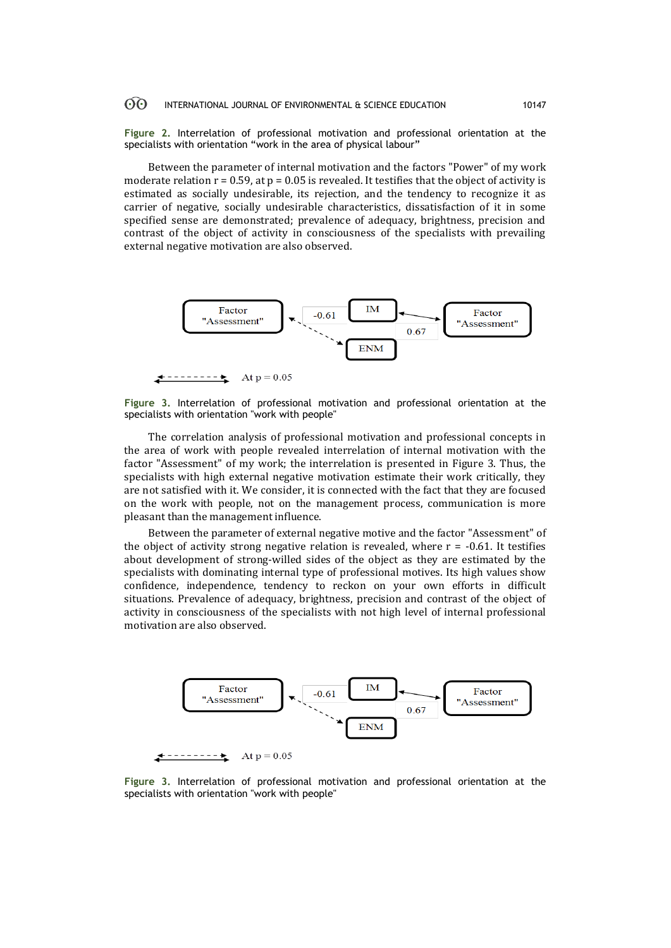**Figure 2.** Interrelation of professional motivation and professional orientation at the specialists with orientation "work in the area of physical labour"

Between the parameter of internal motivation and the factors "Power" of my work moderate relation  $r = 0.59$ , at  $p = 0.05$  is revealed. It testifies that the object of activity is estimated as socially undesirable, its rejection, and the tendency to recognize it as carrier of negative, socially undesirable characteristics, dissatisfaction of it in some specified sense are demonstrated; prevalence of adequacy, brightness, precision and contrast of the object of activity in consciousness of the specialists with prevailing external negative motivation are also observed.



At  $p = 0.05$ 

**Figure 3.** Interrelation of professional motivation and professional orientation at the specialists with orientation "work with people"

The correlation analysis of professional motivation and professional concepts in the area of work with people revealed interrelation of internal motivation with the factor "Assessment" of my work; the interrelation is presented in Figure 3. Thus, the specialists with high external negative motivation estimate their work critically, they are not satisfied with it. We consider, it is connected with the fact that they are focused on the work with people, not on the management process, communication is more pleasant than the management influence.

Between the parameter of external negative motive and the factor "Assessment" of the object of activity strong negative relation is revealed, where  $r = -0.61$ . It testifies about development of strong-willed sides of the object as they are estimated by the specialists with dominating internal type of professional motives. Its high values show confidence, independence, tendency to reckon on your own efforts in difficult situations. Prevalence of adequacy, brightness, precision and contrast of the object of activity in consciousness of the specialists with not high level of internal professional motivation are also observed.



**Figure 3.** Interrelation of professional motivation and professional orientation at the specialists with orientation "work with people"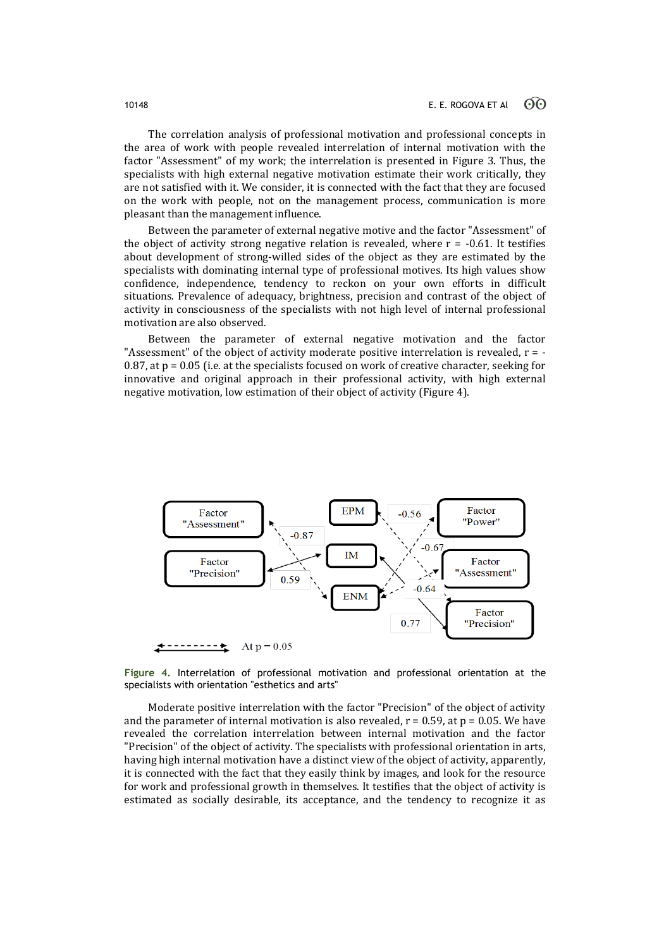The correlation analysis of professional motivation and professional concepts in the area of work with people revealed interrelation of internal motivation with the factor "Assessment" of my work; the interrelation is presented in Figure 3. Thus, the specialists with high external negative motivation estimate their work critically, they are not satisfied with it. We consider, it is connected with the fact that they are focused on the work with people, not on the management process, communication is more pleasant than the management influence.

Between the parameter of external negative motive and the factor "Assessment" of the object of activity strong negative relation is revealed, where  $r = -0.61$ . It testifies about development of strong-willed sides of the object as they are estimated by the specialists with dominating internal type of professional motives. Its high values show confidence, independence, tendency to reckon on your own efforts in difficult situations. Prevalence of adequacy, brightness, precision and contrast of the object of activity in consciousness of the specialists with not high level of internal professional motivation are also observed.

Between the parameter of external negative motivation and the factor "Assessment" of the object of activity moderate positive interrelation is revealed,  $r = -$ 0.87, at  $p = 0.05$  (i.e. at the specialists focused on work of creative character, seeking for innovative and original approach in their professional activity, with high external negative motivation, low estimation of their object of activity (Figure 4).



**Figure 4.** Interrelation of professional motivation and professional orientation at the specialists with orientation "esthetics and arts"

Moderate positive interrelation with the factor "Precision" of the object of activity and the parameter of internal motivation is also revealed,  $r = 0.59$ , at  $p = 0.05$ . We have revealed the correlation interrelation between internal motivation and the factor "Precision" of the object of activity. The specialists with professional orientation in arts, having high internal motivation have a distinct view of the object of activity, apparently, it is connected with the fact that they easily think by images, and look for the resource for work and professional growth in themselves. It testifies that the object of activity is estimated as socially desirable, its acceptance, and the tendency to recognize it as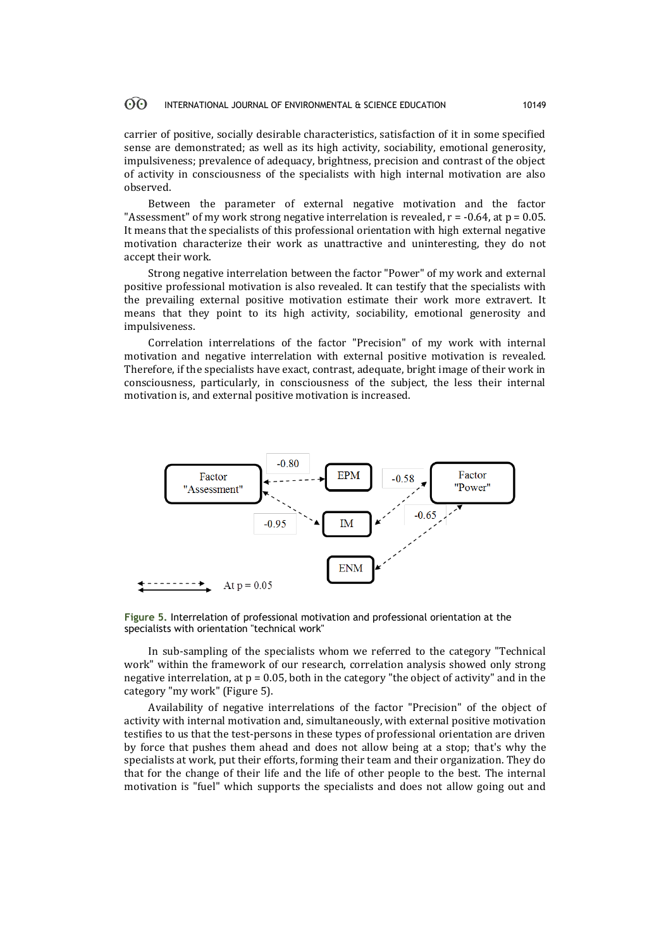carrier of positive, socially desirable characteristics, satisfaction of it in some specified sense are demonstrated; as well as its high activity, sociability, emotional generosity, impulsiveness; prevalence of adequacy, brightness, precision and contrast of the object of activity in consciousness of the specialists with high internal motivation are also observed.

Between the parameter of external negative motivation and the factor "Assessment" of my work strong negative interrelation is revealed,  $r = -0.64$ , at  $p = 0.05$ . It means that the specialists of this professional orientation with high external negative motivation characterize their work as unattractive and uninteresting, they do not accept their work.

Strong negative interrelation between the factor "Power" of my work and external positive professional motivation is also revealed. It can testify that the specialists with the prevailing external positive motivation estimate their work more extravert. It means that they point to its high activity, sociability, emotional generosity and impulsiveness.

Correlation interrelations of the factor "Precision" of my work with internal motivation and negative interrelation with external positive motivation is revealed. Therefore, if the specialists have exact, contrast, adequate, bright image of their work in consciousness, particularly, in consciousness of the subject, the less their internal motivation is, and external positive motivation is increased.



**Figure 5.** Interrelation of professional motivation and professional orientation at the specialists with orientation "technical work"

In sub-sampling of the specialists whom we referred to the category "Technical work" within the framework of our research, correlation analysis showed only strong negative interrelation, at  $p = 0.05$ , both in the category "the object of activity" and in the category "my work" (Figure 5).

Availability of negative interrelations of the factor "Precision" of the object of activity with internal motivation and, simultaneously, with external positive motivation testifies to us that the test-persons in these types of professional orientation are driven by force that pushes them ahead and does not allow being at a stop; that's why the specialists at work, put their efforts, forming their team and their organization. They do that for the change of their life and the life of other people to the best. The internal motivation is "fuel" which supports the specialists and does not allow going out and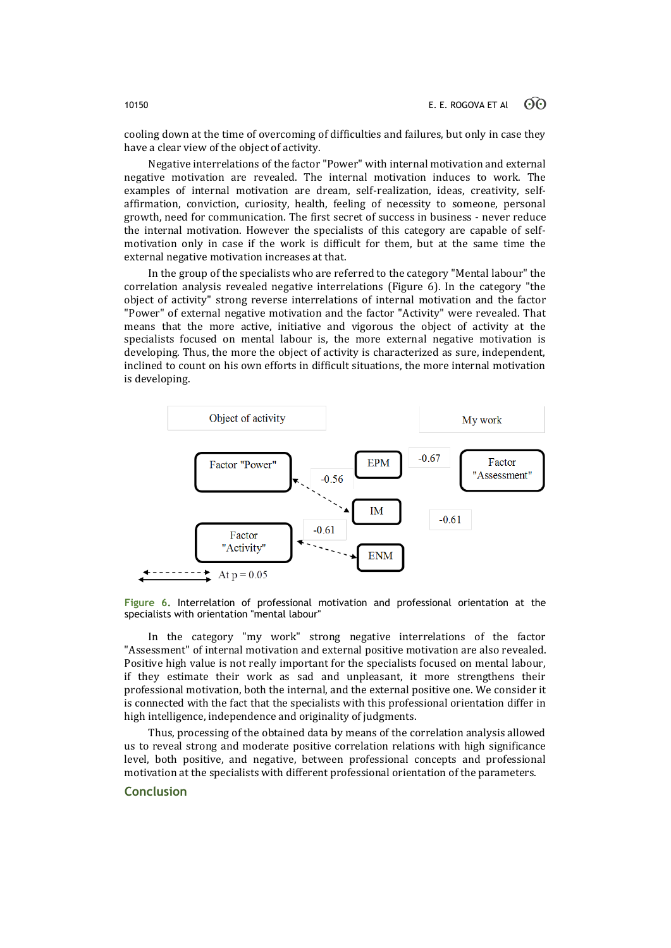cooling down at the time of overcoming of difficulties and failures, but only in case they have a clear view of the object of activity.

Negative interrelations of the factor "Power" with internal motivation and external negative motivation are revealed. The internal motivation induces to work. The examples of internal motivation are dream, self-realization, ideas, creativity, selfaffirmation, conviction, curiosity, health, feeling of necessity to someone, personal growth, need for communication. The first secret of success in business - never reduce the internal motivation. However the specialists of this category are capable of selfmotivation only in case if the work is difficult for them, but at the same time the external negative motivation increases at that.

In the group of the specialists who are referred to the category "Mental labour" the correlation analysis revealed negative interrelations (Figure 6). In the category "the object of activity" strong reverse interrelations of internal motivation and the factor "Power" of external negative motivation and the factor "Activity" were revealed. That means that the more active, initiative and vigorous the object of activity at the specialists focused on mental labour is, the more external negative motivation is developing. Thus, the more the object of activity is characterized as sure, independent, inclined to count on his own efforts in difficult situations, the more internal motivation is developing.



**Figure 6.** Interrelation of professional motivation and professional orientation at the specialists with orientation "mental labour"

In the category "my work" strong negative interrelations of the factor "Assessment" of internal motivation and external positive motivation are also revealed. Positive high value is not really important for the specialists focused on mental labour, if they estimate their work as sad and unpleasant, it more strengthens their professional motivation, both the internal, and the external positive one. We consider it is connected with the fact that the specialists with this professional orientation differ in high intelligence, independence and originality of judgments.

Thus, processing of the obtained data by means of the correlation analysis allowed us to reveal strong and moderate positive correlation relations with high significance level, both positive, and negative, between professional concepts and professional motivation at the specialists with different professional orientation of the parameters.

# **Conclusion**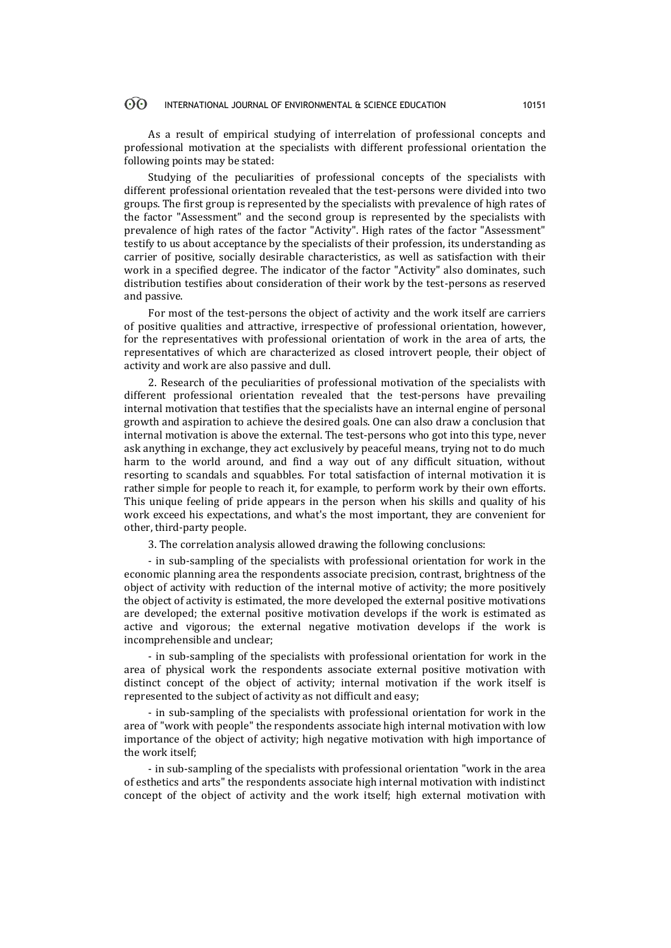As a result of empirical studying of interrelation of professional concepts and professional motivation at the specialists with different professional orientation the following points may be stated:

Studying of the peculiarities of professional concepts of the specialists with different professional orientation revealed that the test-persons were divided into two groups. The first group is represented by the specialists with prevalence of high rates of the factor "Assessment" and the second group is represented by the specialists with prevalence of high rates of the factor "Activity". High rates of the factor "Assessment" testify to us about acceptance by the specialists of their profession, its understanding as carrier of positive, socially desirable characteristics, as well as satisfaction with their work in a specified degree. The indicator of the factor "Activity" also dominates, such distribution testifies about consideration of their work by the test-persons as reserved and passive.

For most of the test-persons the object of activity and the work itself are carriers of positive qualities and attractive, irrespective of professional orientation, however, for the representatives with professional orientation of work in the area of arts, the representatives of which are characterized as closed introvert people, their object of activity and work are also passive and dull.

2. Research of the peculiarities of professional motivation of the specialists with different professional orientation revealed that the test-persons have prevailing internal motivation that testifies that the specialists have an internal engine of personal growth and aspiration to achieve the desired goals. One can also draw a conclusion that internal motivation is above the external. The test-persons who got into this type, never ask anything in exchange, they act exclusively by peaceful means, trying not to do much harm to the world around, and find a way out of any difficult situation, without resorting to scandals and squabbles. For total satisfaction of internal motivation it is rather simple for people to reach it, for example, to perform work by their own efforts. This unique feeling of pride appears in the person when his skills and quality of his work exceed his expectations, and what's the most important, they are convenient for other, third-party people.

3. The correlation analysis allowed drawing the following conclusions:

- in sub-sampling of the specialists with professional orientation for work in the economic planning area the respondents associate precision, contrast, brightness of the object of activity with reduction of the internal motive of activity; the more positively the object of activity is estimated, the more developed the external positive motivations are developed; the external positive motivation develops if the work is estimated as active and vigorous; the external negative motivation develops if the work is incomprehensible and unclear;

- in sub-sampling of the specialists with professional orientation for work in the area of physical work the respondents associate external positive motivation with distinct concept of the object of activity; internal motivation if the work itself is represented to the subject of activity as not difficult and easy;

- in sub-sampling of the specialists with professional orientation for work in the area of "work with people" the respondents associate high internal motivation with low importance of the object of activity; high negative motivation with high importance of the work itself;

- in sub-sampling of the specialists with professional orientation "work in the area of esthetics and arts" the respondents associate high internal motivation with indistinct concept of the object of activity and the work itself; high external motivation with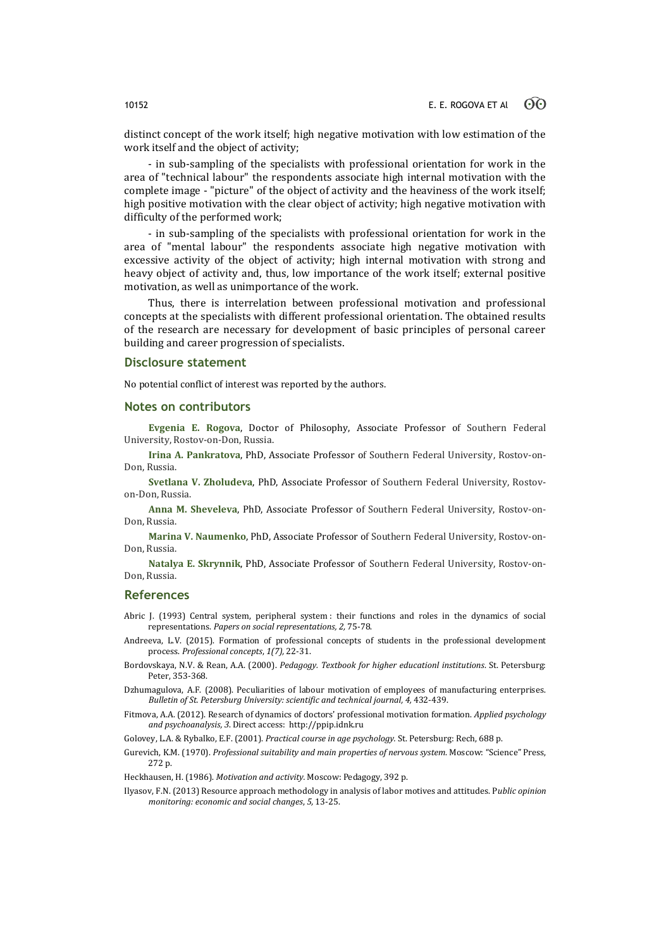distinct concept of the work itself; high negative motivation with low estimation of the work itself and the object of activity;

- in sub-sampling of the specialists with professional orientation for work in the area of "technical labour" the respondents associate high internal motivation with the complete image - "picture" of the object of activity and the heaviness of the work itself; high positive motivation with the clear object of activity; high negative motivation with difficulty of the performed work;

- in sub-sampling of the specialists with professional orientation for work in the area of "mental labour" the respondents associate high negative motivation with excessive activity of the object of activity; high internal motivation with strong and heavy object of activity and, thus, low importance of the work itself; external positive motivation, as well as unimportance of the work.

Thus, there is interrelation between professional motivation and professional concepts at the specialists with different professional orientation. The obtained results of the research are necessary for development of basic principles of personal career building and career progression of specialists.

### **Disclosure statement**

No potential conflict of interest was reported by the authors.

### **Notes on contributors**

**Evgenia E. Rogova**, Doctor of Philosophy, Associate Professor of Southern Federal University, Rostov-on-Don, Russia.

**Irina A. Pankratova**, PhD, Associate Professor of Southern Federal University, Rostov-on-Don, Russia.

**Svetlana V. Zholudeva**, PhD, Associate Professor of Southern Federal University, Rostovon-Don, Russia.

**Anna M. Sheveleva**, PhD, Associate Professor of Southern Federal University, Rostov-on-Don, Russia.

**Marina V. Naumenko**, PhD, Associate Professor of Southern Federal University, Rostov-on-Don, Russia.

**Natalya E. Skrynnik**, PhD, Associate Professor of Southern Federal University, Rostov-on-Don, Russia.

### **References**

Abric J. (1993) Central system, peripheral system : their functions and roles in the dynamics of social representations. *Papers on social representations, 2,* 75-78.

- Andreeva, L.V. (2015). Formation of professional concepts of students in the professional development process. *Professional concepts*, *1(7),* 22-31.
- Bordovskaya, N.V. & Rean, A.A. (2000). *Pedagogy. Textbook for higher educationl institutions*. St. Petersburg: Peter, 353-368.

Dzhumagulova, A.F. (2008). Peculiarities of labour motivation of employees of manufacturing enterprises. *Bulletin of St. Petersburg University: scientific and technical journal, 4,* 432-439.

Fitmova, A.A. (2012). Research of dynamics of doctors' professional motivation formation. *Applied psychology and psychoanalysis, 3*. Direct access: http://ppip.idnk.ru

Golovey, L.A. & Rybalko, E.F. (2001). *Practical course in age psychology.* St. Petersburg: Rech, 688 p.

Gurevich, K.M. (1970). *Professional suitability and main properties of nervous system*. Moscow: "Science" Press, 272 p.

Heckhausen, H. (1986). *Motivation and activity.* Moscow: Pedagogy, 392 p.

Ilyasov, F.N. (2013) Resource approach methodology in analysis of labor motives and attitudes. P*ublic opinion monitoring: economic and social changes*, *5,* 13-25.